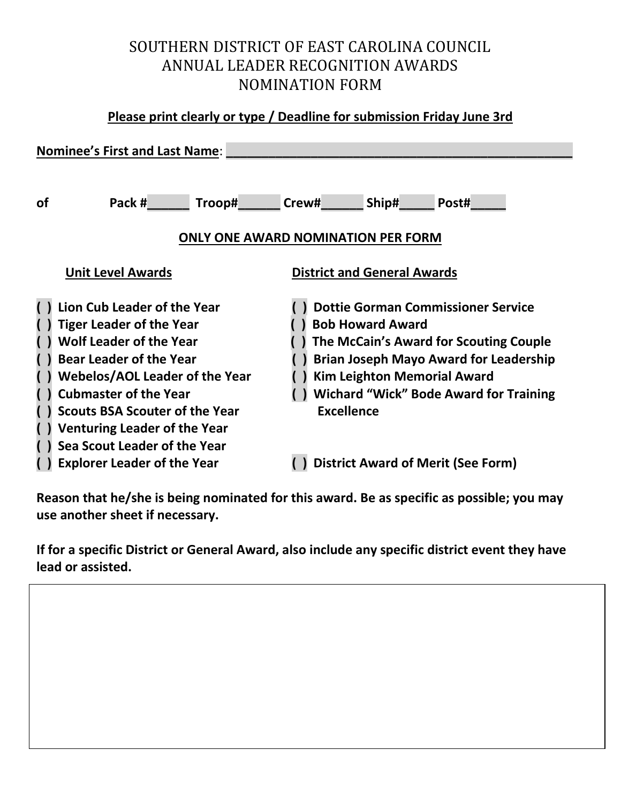# SOUTHERN DISTRICT OF EAST CAROLINA COUNCIL ANNUAL LEADER RECOGNITION AWARDS NOMINATION FORM

#### **Please print clearly or type / Deadline for submission Friday June 3rd**

| <b>Nominee's First and Last Name:</b>                                                                                                                                                                                                                                                                                       |                                                                                                                                                                                                                                                                             |
|-----------------------------------------------------------------------------------------------------------------------------------------------------------------------------------------------------------------------------------------------------------------------------------------------------------------------------|-----------------------------------------------------------------------------------------------------------------------------------------------------------------------------------------------------------------------------------------------------------------------------|
| Pack #<br><b>of</b>                                                                                                                                                                                                                                                                                                         | <b>Troop#</b> Crew# Ship# Post#                                                                                                                                                                                                                                             |
| <b>ONLY ONE AWARD NOMINATION PER FORM</b>                                                                                                                                                                                                                                                                                   |                                                                                                                                                                                                                                                                             |
| <b>Unit Level Awards</b>                                                                                                                                                                                                                                                                                                    | <b>District and General Awards</b>                                                                                                                                                                                                                                          |
| Lion Cub Leader of the Year<br><b>Tiger Leader of the Year</b><br><b>Wolf Leader of the Year</b><br><b>Bear Leader of the Year</b><br><b>Webelos/AOL Leader of the Year</b><br><b>Cubmaster of the Year</b><br><b>Scouts BSA Scouter of the Year</b><br><b>Venturing Leader of the Year</b><br>Sea Scout Leader of the Year | <b>Dottie Gorman Commissioner Service</b><br><b>Bob Howard Award</b><br>The McCain's Award for Scouting Couple<br><b>Brian Joseph Mayo Award for Leadership</b><br><b>Kim Leighton Memorial Award</b><br><b>Wichard "Wick" Bode Award for Training</b><br><b>Excellence</b> |
| <b>Explorer Leader of the Year</b>                                                                                                                                                                                                                                                                                          | <b>District Award of Merit (See Form)</b>                                                                                                                                                                                                                                   |

**Reason that he/she is being nominated for this award. Be as specific as possible; you may use another sheet if necessary.**

**If for a specific District or General Award, also include any specific district event they have lead or assisted.**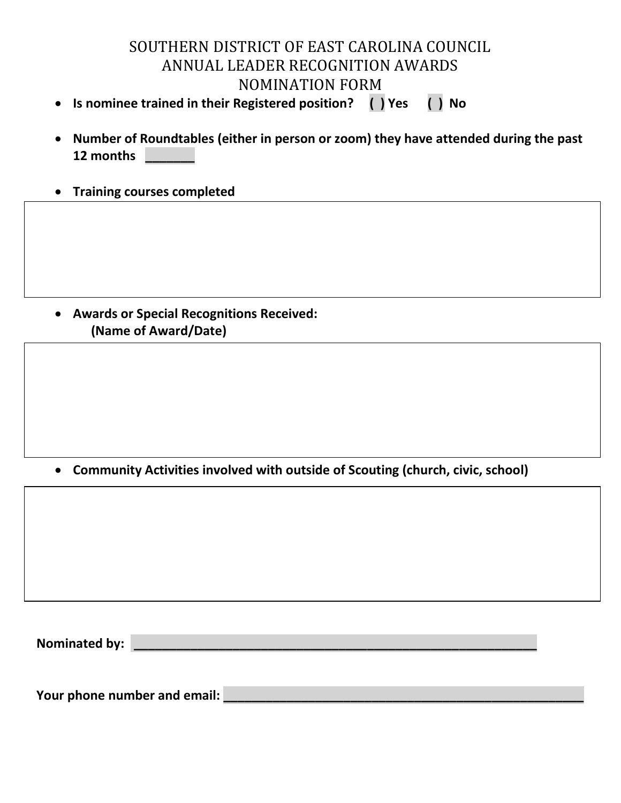# SOUTHERN DISTRICT OF EAST CAROLINA COUNCIL ANNUAL LEADER RECOGNITION AWARDS NOMINATION FORM

- **Is nominee trained in their Registered position? ( ) Yes ( ) No**
- **Number of Roundtables (either in person or zoom) they have attended during the past 12 months \_\_\_\_\_\_\_**
- **Training courses completed**

• **Awards or Special Recognitions Received: (Name of Award/Date)** 

• **Community Activities involved with outside of Scouting (church, civic, school)** 

**Nominated by: \_\_\_\_\_\_\_\_\_\_\_\_\_\_\_\_\_\_\_\_\_\_\_\_\_\_\_\_\_\_\_\_\_\_\_\_\_\_\_\_\_\_\_\_\_\_\_\_\_\_\_\_\_\_\_\_\_**

Your phone number and email: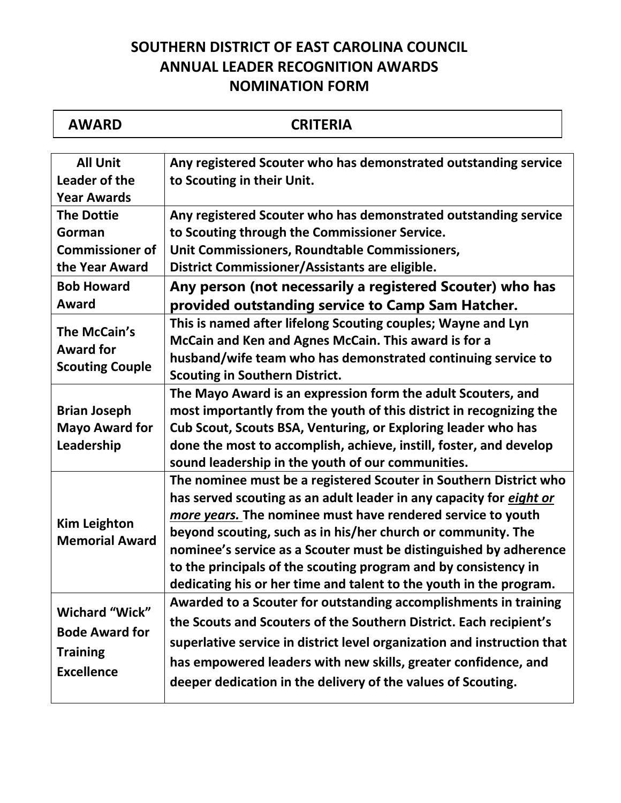# **SOUTHERN DISTRICT OF EAST CAROLINA COUNCIL ANNUAL LEADER RECOGNITION AWARDS NOMINATION FORM**

| <b>AWARD</b>                                                                           | <b>CRITERIA</b>                                                                                                                                                                                                                                                                                                                                                                                                                                                                       |
|----------------------------------------------------------------------------------------|---------------------------------------------------------------------------------------------------------------------------------------------------------------------------------------------------------------------------------------------------------------------------------------------------------------------------------------------------------------------------------------------------------------------------------------------------------------------------------------|
| <b>All Unit</b><br>Leader of the<br><b>Year Awards</b>                                 | Any registered Scouter who has demonstrated outstanding service<br>to Scouting in their Unit.                                                                                                                                                                                                                                                                                                                                                                                         |
| <b>The Dottie</b><br>Gorman<br><b>Commissioner of</b><br>the Year Award                | Any registered Scouter who has demonstrated outstanding service<br>to Scouting through the Commissioner Service.<br>Unit Commissioners, Roundtable Commissioners,<br>District Commissioner/Assistants are eligible.                                                                                                                                                                                                                                                                   |
| <b>Bob Howard</b><br><b>Award</b>                                                      | Any person (not necessarily a registered Scouter) who has<br>provided outstanding service to Camp Sam Hatcher.                                                                                                                                                                                                                                                                                                                                                                        |
| The McCain's<br><b>Award for</b><br><b>Scouting Couple</b>                             | This is named after lifelong Scouting couples; Wayne and Lyn<br>McCain and Ken and Agnes McCain. This award is for a<br>husband/wife team who has demonstrated continuing service to<br><b>Scouting in Southern District.</b>                                                                                                                                                                                                                                                         |
| <b>Brian Joseph</b><br><b>Mayo Award for</b><br>Leadership                             | The Mayo Award is an expression form the adult Scouters, and<br>most importantly from the youth of this district in recognizing the<br>Cub Scout, Scouts BSA, Venturing, or Exploring leader who has<br>done the most to accomplish, achieve, instill, foster, and develop<br>sound leadership in the youth of our communities.                                                                                                                                                       |
| <b>Kim Leighton</b><br><b>Memorial Award</b>                                           | The nominee must be a registered Scouter in Southern District who<br>has served scouting as an adult leader in any capacity for eight or<br>more years. The nominee must have rendered service to youth<br>beyond scouting, such as in his/her church or community. The<br>nominee's service as a Scouter must be distinguished by adherence<br>to the principals of the scouting program and by consistency in<br>dedicating his or her time and talent to the youth in the program. |
| <b>Wichard "Wick"</b><br><b>Bode Award for</b><br><b>Training</b><br><b>Excellence</b> | Awarded to a Scouter for outstanding accomplishments in training<br>the Scouts and Scouters of the Southern District. Each recipient's<br>superlative service in district level organization and instruction that<br>has empowered leaders with new skills, greater confidence, and<br>deeper dedication in the delivery of the values of Scouting.                                                                                                                                   |